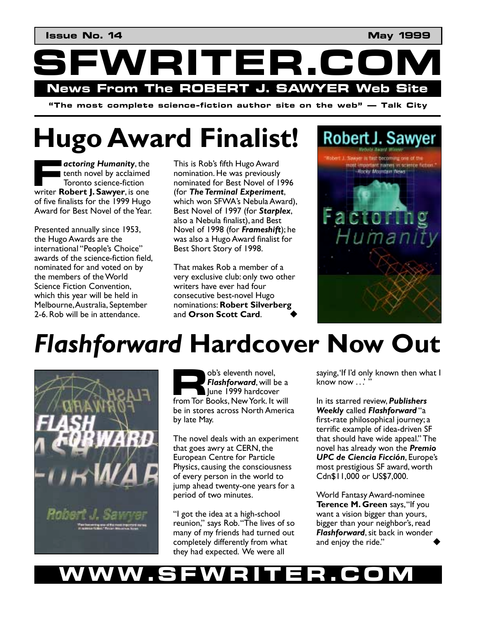VRITER.C News From The ROBERT J. SAWYER Web Site

"The most complete science-fiction author site on the web"  $-$  Talk City

# **Hugo Award Finalist!**

 $\blacksquare$  actoring Humanity, the tenth novel by acclaimed Toronto science-fiction writer Robert J. Sawyer, is one of five finalists for the 1999 Hugo Award for Best Novel of the Year.

Presented annually since 1953, the Hugo Awards are the international "People's Choice" awards of the science-fiction field, nominated for and voted on by the members of the World Science Fiction Convention, which this year will be held in Melbourne, Australia, September 2-6. Rob will be in attendance.

This is Rob's fifth Hugo Award nomination. He was previously nominated for Best Novel of 1996 (for The Terminal Experiment, which won SFWA's Nebula Award), Best Novel of 1997 (for Starplex, also a Nebula finalist), and Best Novel of 1998 (for Frameshift); he was also a Hugo Award finalist for Best Short Story of 1998.

That makes Rob a member of a very exclusive club: only two other writers have ever had four consecutive best-novel Hugo nominations: Robert Silverberg and Orson Scott Card.



## **Flashforward Hardcover Now Out**



ob's eleventh novel, Flashforward, will be a June 1999 hardcover from Tor Books, New York. It will be in stores across North America by late May.

The novel deals with an experiment that goes awry at CERN, the **European Centre for Particle** Physics, causing the consciousness of every person in the world to jump ahead twenty-one years for a period of two minutes.

"I got the idea at a high-school reunion," says Rob. "The lives of so many of my friends had turned out completely differently from what they had expected. We were all

saying, 'If I'd only known then what I know now ...''

In its starred review, Publishers Weekly called Flashforward "a first-rate philosophical journey; a terrific example of idea-driven SF that should have wide appeal." The novel has already won the Premio **UPC de Ciencia Ficción, Europe's** most prestigious SF award, worth Cdn\$11,000 or US\$7,000.

World Fantasy Award-nominee Terence M. Green says, "If you want a vision bigger than yours, bigger than your neighbor's, read Flashforward, sit back in wonder and enjoy the ride."

#### W WV